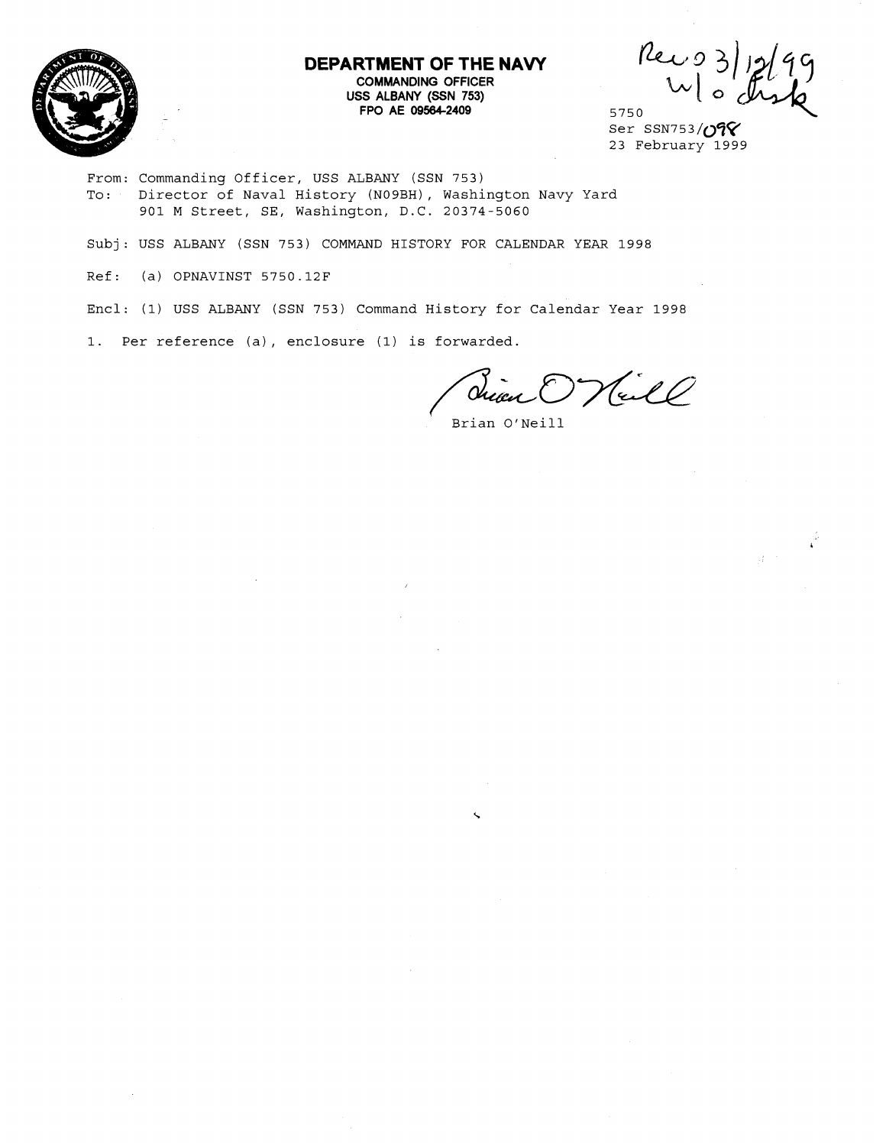

# **DEPARTMENT OF THE NAVY COMMANDING OFFICER USS ALBANY (SSN 753)**

**FIMENT OF THE NAVY**<br>COMMANDING OFFICER<br>SS ALBANY (SSN 753)<br>FPO AE 09564-2409 5750 5750

 $\hat{\tilde{\psi}}$ 

From: Commanding Officer, USS ALBANY (SSN 753) To: Director of Naval History (NOgBH), washington Navy Yard 901 M Street, SE, Washington, D.C. 20374-5060

Subj: USS ALBANY (SSN 753) COMMAND HISTORY FOR CALENDAR YEAR 1998

Ref: (a) OPNAVINST 5750.12F

Encl: (1) USS ALBANY (SSN 753) Command History for Calendar Year 1998

1. Per reference (a), enclosure (1) is forwarded.

Vall

Brian O'Neill

Ser SSN753/098 23 February 1999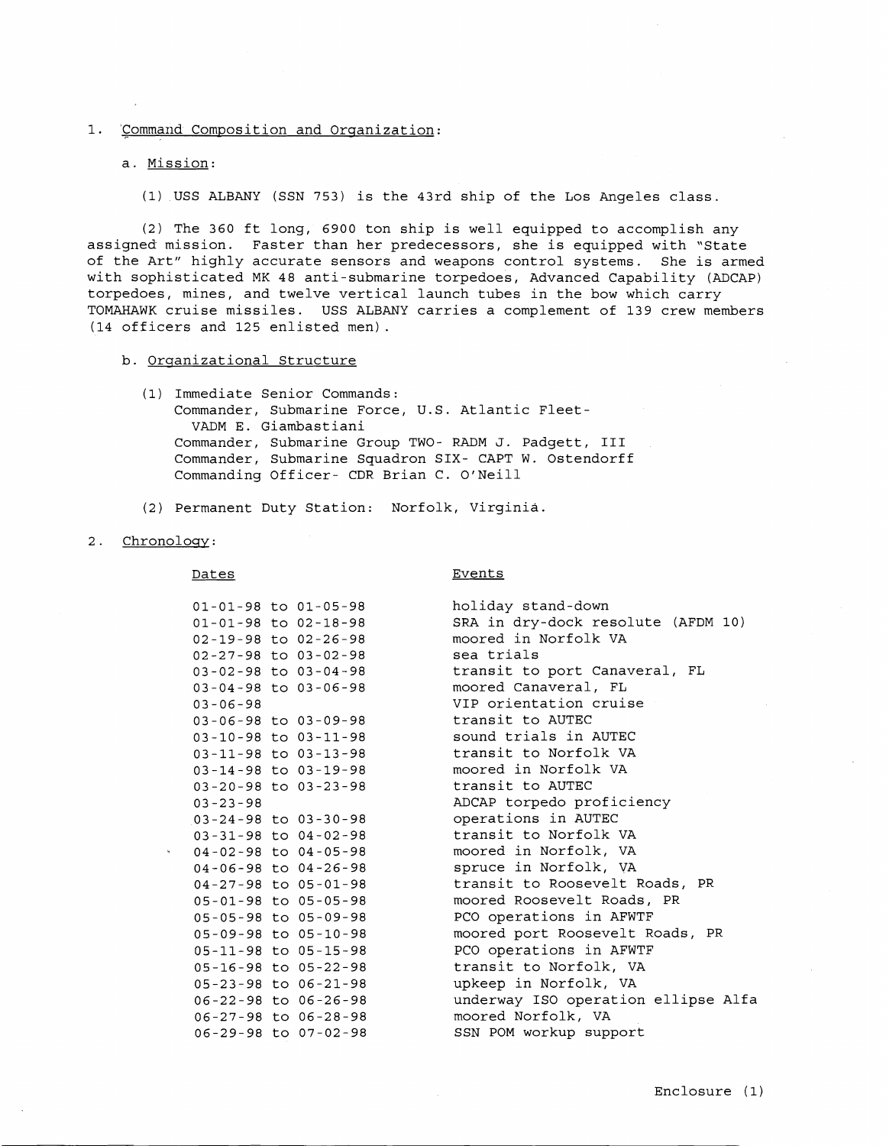### 1. 'Command Composition and Orqanization:

#### a. Mission:

(1) USS ALBANY (SSN 753) is the 43rd ship of the Los Angeles class.

(2) The 360 ft long, 6900 ton ship is well equipped to accomplish any assigned mission. Faster than her predecessors, she is equipped with "State of the Art" highly accurate sensors and weapons control systems. She is armed with sophisticated MK 48 anti-submarine torpedoes, Advanced Capability (ADCAP) torpedoes, mines, and twelve vertical launch tubes in the bow which carry TOMAHAWK cruise missiles. USS ALBANY carries a complement of 139 crew members (14 officers and 125 enlisted men).

- b. Orqanizational Structure
	- (1) Immediate Senior Commands: Commander, Submarine Force, U.S. Atlantic Fleet-VADM E. Giambastiani Commander, Submarine Group TWO- RADM J. Padgett, I11 Commander, Submarine Squadron SIX- CAPT W. Ostendorff Commanding Officer- CDR Brian C. O'Neill
	- (2) Permanent Duty station: Norfolk, Virginia
- 2. Chronology:

Dates **Events** 

|                | $01 - 01 - 98$ to $01 - 05 - 98$ | holiday stand-down                  |
|----------------|----------------------------------|-------------------------------------|
|                | $01 - 01 - 98$ to $02 - 18 - 98$ | SRA in dry-dock resolute (AFDM 10)  |
|                | $02 - 19 - 98$ to $02 - 26 - 98$ | moored in Norfolk VA                |
|                | $02 - 27 - 98$ to $03 - 02 - 98$ | sea trials                          |
|                | $03 - 02 - 98$ to $03 - 04 - 98$ | transit to port Canaveral, FL       |
|                | $03 - 04 - 98$ to $03 - 06 - 98$ | moored Canaveral, FL                |
| $03 - 06 - 98$ |                                  | VIP orientation cruise              |
|                | $03 - 06 - 98$ to $03 - 09 - 98$ | transit to AUTEC                    |
|                | 03-10-98 to 03-11-98             | sound trials in AUTEC               |
|                | $03 - 11 - 98$ to $03 - 13 - 98$ | transit to Norfolk VA               |
|                | 03-14-98 to 03-19-98             | moored in Norfolk VA                |
|                | $03 - 20 - 98$ to $03 - 23 - 98$ | transit to AUTEC                    |
| $03 - 23 - 98$ |                                  | ADCAP torpedo proficiency           |
|                | $03 - 24 - 98$ to $03 - 30 - 98$ | operations in AUTEC                 |
|                | $03 - 31 - 98$ to $04 - 02 - 98$ | transit to Norfolk VA               |
|                | $04 - 02 - 98$ to $04 - 05 - 98$ | moored in Norfolk, VA               |
|                | $04 - 06 - 98$ to $04 - 26 - 98$ | spruce in Norfolk, VA               |
|                | $04 - 27 - 98$ to $05 - 01 - 98$ | transit to Roosevelt Roads, PR      |
|                | 05-01-98 to 05-05-98             | moored Roosevelt Roads, PR          |
|                | 05-05-98 to 05-09-98             | PCO operations in AFWTF             |
|                | 05-09-98 to 05-10-98             | moored port Roosevelt Roads, PR     |
|                | 05-11-98 to 05-15-98             | PCO operations in AFWTF             |
|                | 05-16-98 to 05-22-98             | transit to Norfolk, VA              |
|                | 05-23-98 to 06-21-98             | upkeep in Norfolk, VA               |
|                | 06-22-98 to 06-26-98             | underway ISO operation ellipse Alfa |
|                | 06-27-98 to 06-28-98             | moored Norfolk, VA                  |
|                | 06-29-98 to 07-02-98             | SSN POM workup support              |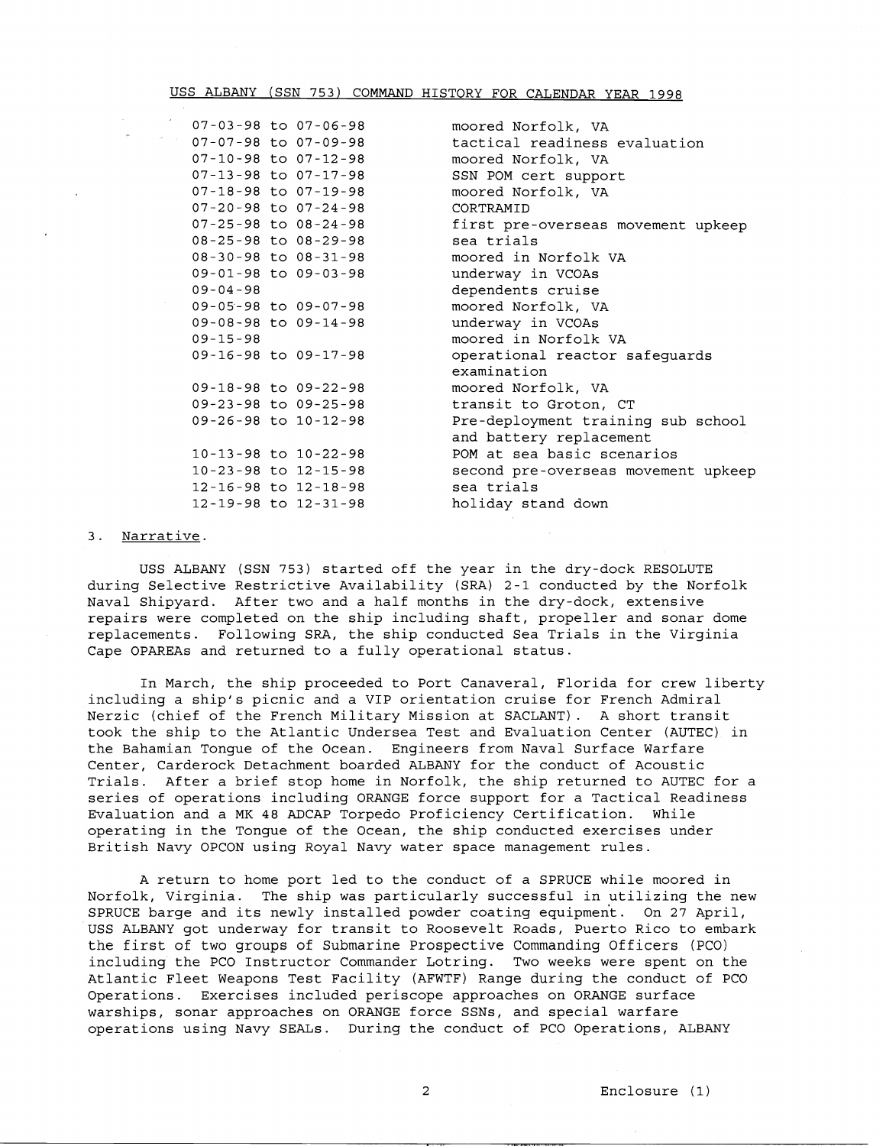## USS ALBANY (SSN 753) COMMAND HISTORY FOR CALENDAR YEAR 1998

 $07 - 03 - 98$  to  $07 - 06 - 98$  $07 - 07 - 98$  to  $07 - 09 - 98$  $07 - 10 - 98$  to  $07 - 12 - 98$ 07-13-98 to 07-17-98 07-18-98 to 07-19-98 07-20-98 to 07-24-98  $07 - 25 - 98$  to  $08 - 24 - 98$ 08-25-98 to 08-29-98 08-30-98 to 08-31-98 09-01-98 to 09-03-98  $09 - 04 - 98$ 09-05-98 to 09-07-98 09-08-98 to 09-14-98  $09 - 15 - 98$ 09-16-98 to 09-17-98 09-18-98 to 09-22-98 09-23-98 to 09-25-98 09-26-98 to 10-12-98 10-13-98 to 10-22-98 10-23-98 to 12-15-98 12-16-98 to 12-18-98 12-19-98 to 12-31-98

moored Norfolk, VA tactical readiness evaluation moored Norfolk, VA SSN POM cert support moored Norfolk, VA CORTRAMID first pre-overseas movement upkeep sea trials moored in Norfolk VA underway in VCOAs dependents cruise moored Norfolk, VA underway in VCOAs moored in Norfolk VA operational reactor safeguards examination moored Norfolk, VA transit to Groton, CT Pre-deployment training sub school and battery replacement POM at sea basic scenarios second pre-overseas movement upkeep sea trials holiday stand down

## 3. Narrative.

 $\sigma_{\rm c} = \gamma_{\rm c}$ 

USS ALBANY (SSN 753) started off the year in the dry-dock RESOLUTE during Selective Restrictive Availability (SRA) 2-1 conducted by the Norfolk Naval Shipyard. After two and a half months in the dry-dock, extensive repairs were completed on the ship including shaft, propeller and sonar dome replacements. Following SRA, the ship conducted Sea Trials in the Virginia Cape OPAREAs and returned to a fully operational status.

In March, the ship proceeded to Port Canaveral, Florida for crew liberty including a ship's picnic and a VIP orientation cruise for French Admiral Nerzic (chief of the French Military Mission at SACLANT). A short transit took the ship to the Atlantic Undersea Test and Evaluation Center (AUTEC) in the Bahamian Tongue of the Ocean. Engineers from Naval Surface Warfare Center, Carderock Detachment boarded ALBANY for the conduct of Acoustic Trials. After a brief stop home in Norfolk, the ship returned to AUTEC for a series of operations including ORANGE force support for a Tactical Readiness Evaluation and a MK 48 ADCAP Torpedo Proficiency Certification. While operating in the Tongue of the Ocean, the ship conducted exercises under British Navy OPCON using Royal Navy water space management rules.

A return to home port led to the conduct of a SPRUCE while moored in Norfolk, Virginia. The ship was particularly successful in utilizing the new SPRUCE barge and its newly installed powder coating equipment. On 27 April, USS ALBANY got underway for transit to Roosevelt Roads, Puerto Rico to embark the first of two groups of Submarine Prospective Commanding Officers (PCO) including the PC0 Instructor Commander Lotring. Two weeks were spent on the Atlantic Fleet Weapons Test Facility (AFWTF) Range during the conduct of PC0 Operations. Exercises included periscope approaches on ORANGE surface warships, sonar approaches on ORANGE force SSNs, and special warfare operations using Navy SEALS. During the conduct of PC0 Operations, ALBANY